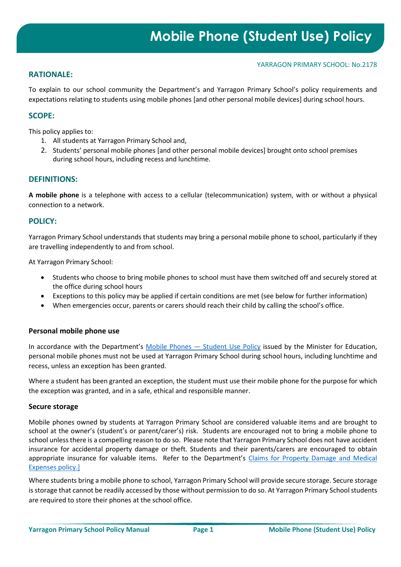#### YARRAGON PRIMARY SCHOOL: No.2178

# **RATIONALE:**

To explain to our school community the Department's and Yarragon Primary School's policy requirements and expectations relating to students using mobile phones [and other personal mobile devices] during school hours.

# **SCOPE:**

This policy applies to:

- 1. All students at Yarragon Primary School and,
- 2. Students' personal mobile phones [and other personal mobile devices] brought onto school premises during school hours, including recess and lunchtime.

## **DEFINITIONS:**

**A mobile phone** is a telephone with access to a cellular (telecommunication) system, with or without a physical connection to a network.

## **POLICY:**

Yarragon Primary School understands that students may bring a personal mobile phone to school, particularly if they are travelling independently to and from school.

At Yarragon Primary School:

- Students who choose to bring mobile phones to school must have them switched off and securely stored at the office during school hours
- Exceptions to this policy may be applied if certain conditions are met (see below for further information)
- When emergencies occur, parents or carers should reach their child by calling the school's office.

#### **Personal mobile phone use**

In accordance with the Department's Mobile Phones — [Student Use Policy](https://www2.education.vic.gov.au/pal/students-using-mobile-phones/policy) issued by the Minister for Education, personal mobile phones must not be used at Yarragon Primary School during school hours, including lunchtime and recess, unless an exception has been granted.

Where a student has been granted an exception, the student must use their mobile phone for the purpose for which the exception was granted, and in a safe, ethical and responsible manner.

#### **Secure storage**

Mobile phones owned by students at Yarragon Primary School are considered valuable items and are brought to school at the owner's (student's or parent/carer's) risk. Students are encouraged not to bring a mobile phone to school unless there is a compelling reason to do so. Please note that Yarragon Primary School does not have accident insurance for accidental property damage or theft. Students and their parents/carers are encouraged to obtain appropriate insurance for valuable items. Refer to the Department's Claims for Property Damage and Medical [Expenses](https://www2.education.vic.gov.au/pal/claims-property-damage-and-medical-expenses/policy) policy.]

Where students bring a mobile phone to school, Yarragon Primary School will provide secure storage. Secure storage is storage that cannot be readily accessed by those without permission to do so. At Yarragon Primary School students are required to store their phones at the school office.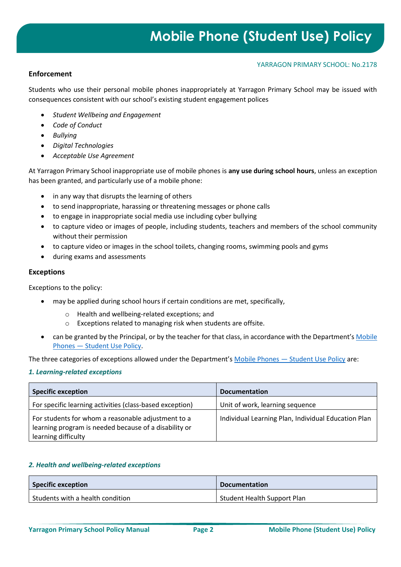#### YARRAGON PRIMARY SCHOOL: No.2178

## **Enforcement**

Students who use their personal mobile phones inappropriately at Yarragon Primary School may be issued with consequences consistent with our school's existing student engagement polices

- *Student Wellbeing and Engagement*
- *Code of Conduct*
- *Bullying*
- *Digital Technologies*
- *Acceptable Use Agreement*

At Yarragon Primary School inappropriate use of mobile phones is **any use during school hours**, unless an exception has been granted, and particularly use of a mobile phone:

- in any way that disrupts the learning of others
- to send inappropriate, harassing or threatening messages or phone calls
- to engage in inappropriate social media use including cyber bullying
- to capture video or images of people, including students, teachers and members of the school community without their permission
- to capture video or images in the school toilets, changing rooms, swimming pools and gyms
- during exams and assessments

#### **Exceptions**

Exceptions to the policy:

- may be applied during school hours if certain conditions are met, specifically,
	- o Health and wellbeing-related exceptions; and
	- o Exceptions related to managing risk when students are offsite.
- can be granted by the Principal, or by the teacher for that class, in accordance with the Department's Mobile Phones — [Student Use Policy.](https://www2.education.vic.gov.au/pal/students-using-mobile-phones/policy)

The three categories of exceptions allowed under the Department's Mobile Phones — [Student Use Policy](https://www2.education.vic.gov.au/pal/students-using-mobile-phones/policy) are:

#### *1. Learning-related exceptions*

| <b>Specific exception</b>                                                                                                          | <b>Documentation</b>                                |
|------------------------------------------------------------------------------------------------------------------------------------|-----------------------------------------------------|
| For specific learning activities (class-based exception)                                                                           | Unit of work, learning sequence                     |
| For students for whom a reasonable adjustment to a<br>learning program is needed because of a disability or<br>learning difficulty | Individual Learning Plan, Individual Education Plan |

#### *2. Health and wellbeing-related exceptions*

| Specific exception               | <b>Documentation</b>        |
|----------------------------------|-----------------------------|
| Students with a health condition | Student Health Support Plan |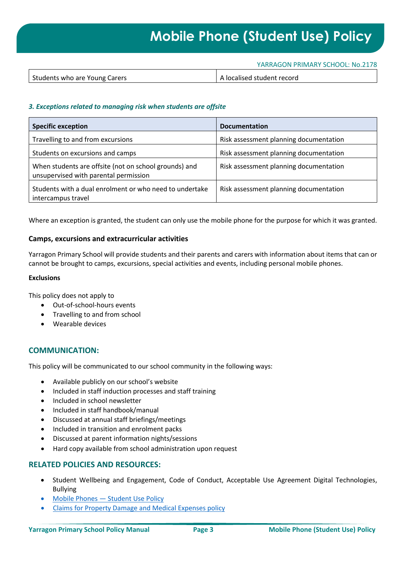# **Mobile Phone (Student Use) Policy**

#### YARRAGON PRIMARY SCHOOL: No.2178

| A localised student record<br>Students who are Young Carers |
|-------------------------------------------------------------|
|-------------------------------------------------------------|

#### *3. Exceptions related to managing risk when students are offsite*

| <b>Specific exception</b>                                                                      | <b>Documentation</b>                   |
|------------------------------------------------------------------------------------------------|----------------------------------------|
| Travelling to and from excursions                                                              | Risk assessment planning documentation |
| Students on excursions and camps                                                               | Risk assessment planning documentation |
| When students are offsite (not on school grounds) and<br>unsupervised with parental permission | Risk assessment planning documentation |
| Students with a dual enrolment or who need to undertake<br>intercampus travel                  | Risk assessment planning documentation |

Where an exception is granted, the student can only use the mobile phone for the purpose for which it was granted.

#### **Camps, excursions and extracurricular activities**

Yarragon Primary School will provide students and their parents and carers with information about items that can or cannot be brought to camps, excursions, special activities and events, including personal mobile phones.

#### **Exclusions**

This policy does not apply to

- Out-of-school-hours events
- Travelling to and from school
- Wearable devices

## **COMMUNICATION:**

This policy will be communicated to our school community in the following ways:

- Available publicly on our school's website
- Included in staff induction processes and staff training
- Included in school newsletter
- Included in staff handbook/manual
- Discussed at annual staff briefings/meetings
- Included in transition and enrolment packs
- Discussed at parent information nights/sessions
- Hard copy available from school administration upon request

## **RELATED POLICIES AND RESOURCES:**

- Student Wellbeing and Engagement, Code of Conduct, Acceptable Use Agreement Digital Technologies, Bullying
- Mobile Phones [Student Use Policy](https://www2.education.vic.gov.au/pal/students-using-mobile-phones/policy)
- [Claims for Property Damage and Medical Expenses](https://www2.education.vic.gov.au/pal/claims-property-damage-and-medical-expenses/policy) policy